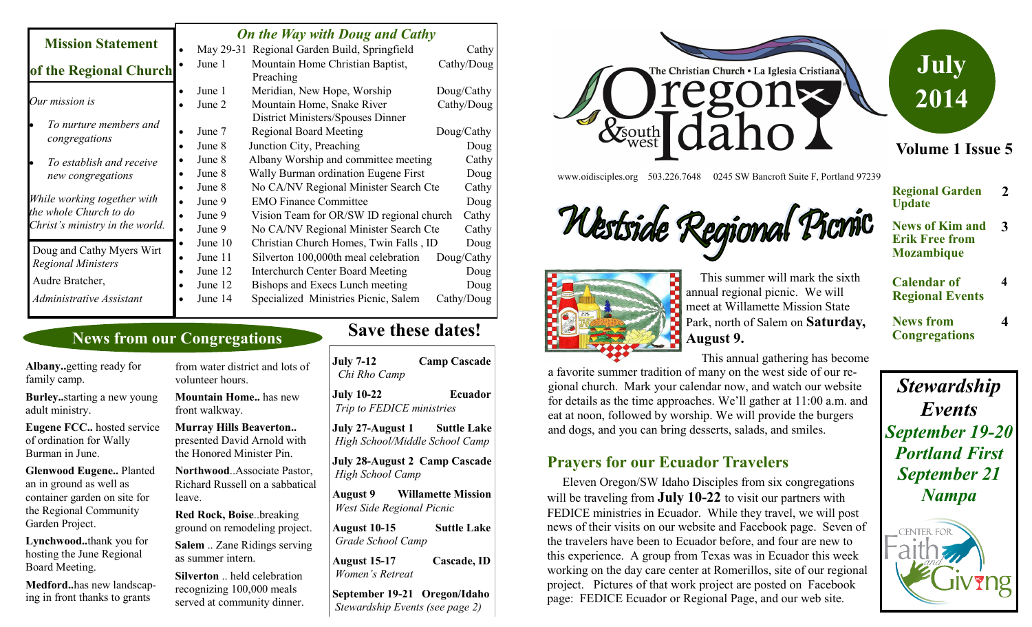| <b>Mission Statement</b>                                                                              | <b>On the Way with Doug and Cathy</b>               |                                                                                                                                                                                                      |                                                  |
|-------------------------------------------------------------------------------------------------------|-----------------------------------------------------|------------------------------------------------------------------------------------------------------------------------------------------------------------------------------------------------------|--------------------------------------------------|
|                                                                                                       |                                                     | May 29-31 Regional Garden Build, Springfield                                                                                                                                                         | Cathy                                            |
| of the Regional Church                                                                                | June 1                                              | Mountain Home Christian Baptist,<br>Preaching                                                                                                                                                        | Cathy/Doug                                       |
| Our mission is                                                                                        | June 1<br>June 2                                    | Meridian, New Hope, Worship<br>Mountain Home, Snake River<br>District Ministers/Spouses Dinner                                                                                                       | Doug/Cathy<br>Cathy/Doug                         |
| To nurture members and<br>congregations                                                               | June 7<br>June 8                                    | <b>Regional Board Meeting</b><br>Junction City, Preaching                                                                                                                                            | Doug/Cathy<br>Doug                               |
| To establish and receive<br>new congregations                                                         | June 8<br>June 8                                    | Albany Worship and committee meeting<br>Wally Burman ordination Eugene First                                                                                                                         | Cathy<br>Doug                                    |
| While working together with<br>the whole Church to do<br>Christ's ministry in the world.              | June 8<br>June 9<br>June 9<br>June 9                | No CA/NV Regional Minister Search Cte<br><b>EMO Finance Committee</b><br>Vision Team for OR/SW ID regional church<br>No CA/NV Regional Minister Search Cte                                           | Cathy<br>Doug<br>Cathy<br>Cathy                  |
| Doug and Cathy Myers Wirt<br><b>Regional Ministers</b><br>Audre Bratcher,<br>Administrative Assistant | June 10<br>June 11<br>June 12<br>June 12<br>June 14 | Christian Church Homes, Twin Falls, ID<br>Silverton 100,000th meal celebration<br><b>Interchurch Center Board Meeting</b><br>Bishops and Execs Lunch meeting<br>Specialized Ministries Picnic, Salem | Doug<br>Doug/Cathy<br>Doug<br>Doug<br>Cathy/Doug |

#### **News from our Congregations**

**Albany..**getting ready for family camp.

**Burley..**starting a new young adult ministry.

**Eugene FCC..** hosted service of ordination for Wally Burman in June.

**Glenwood Eugene..** Planted an in ground as well as container garden on site for the Regional Community Garden Project.

**Lynchwood..**thank you for hosting the June Regional Board Meeting.

**Medford..**has new landscaping in front thanks to grants

from water district and lots of volunteer hours.

**Mountain Home..** has new front walkway.

**Murray Hills Beaverton..**  presented David Arnold with the Honored Minister Pin.

**Northwood**..Associate Pastor, Richard Russell on a sabbatical leave.

**Red Rock, Boise**..breaking ground on remodeling project.

**Salem** .. Zane Ridings serving as summer intern.

**Silverton** .. held celebration recognizing 100,000 meals served at community dinner.

# **Save these dates!**

| <b>July 7-12</b><br>Chi Rho Camp                         | <b>Camp Cascade</b>       |
|----------------------------------------------------------|---------------------------|
| <b>July 10-22</b><br>Trip to FEDICE ministries           | Ecuador                   |
| July 27-August 1<br>High School/Middle School Camp       | <b>Suttle Lake</b>        |
| <b>July 28-August 2 Camp Cascade</b><br>High School Camp |                           |
| August 9<br>West Side Regional Picnic                    | <b>Willamette Mission</b> |
| <b>August 10-15</b><br>Grade School Camp                 | Suttle Lake               |
| <b>August 15-17</b><br>Women's Retreat                   | Cascade, ID               |

**September 19-21 Oregon/Idaho** *Stewardship Events (see page 2)*



www.oidisciples.org 503.226.7648 0245 SW Bancroft Suite F, Portland 97239





**Calendar of Regional Events**

**News from Congregations**

**Update**

**Regional Garden** 

**2**

**4**

**4**

 This summer will mark the sixth annual regional picnic. We will meet at Willamette Mission State Park, north of Salem on **Saturday, August 9.** 

 This annual gathering has become a favorite summer tradition of many on the west side of our regional church. Mark your calendar now, and watch our website for details as the time approaches. We'll gather at 11:00 a.m. and eat at noon, followed by worship. We will provide the burgers and dogs, and you can bring desserts, salads, and smiles.

#### **Prayers for our Ecuador Travelers**

 Eleven Oregon/SW Idaho Disciples from six congregations will be traveling from **July 10-22** to visit our partners with FEDICE ministries in Ecuador. While they travel, we will post news of their visits on our website and Facebook page. Seven of the travelers have been to Ecuador before, and four are new to this experience. A group from Texas was in Ecuador this week working on the day care center at Romerillos, site of our regional project. Pictures of that work project are posted on Facebook page: FEDICE Ecuador or Regional Page, and our web site.

*Stewardship Events September 19-20 Portland First September 21 Nampa*